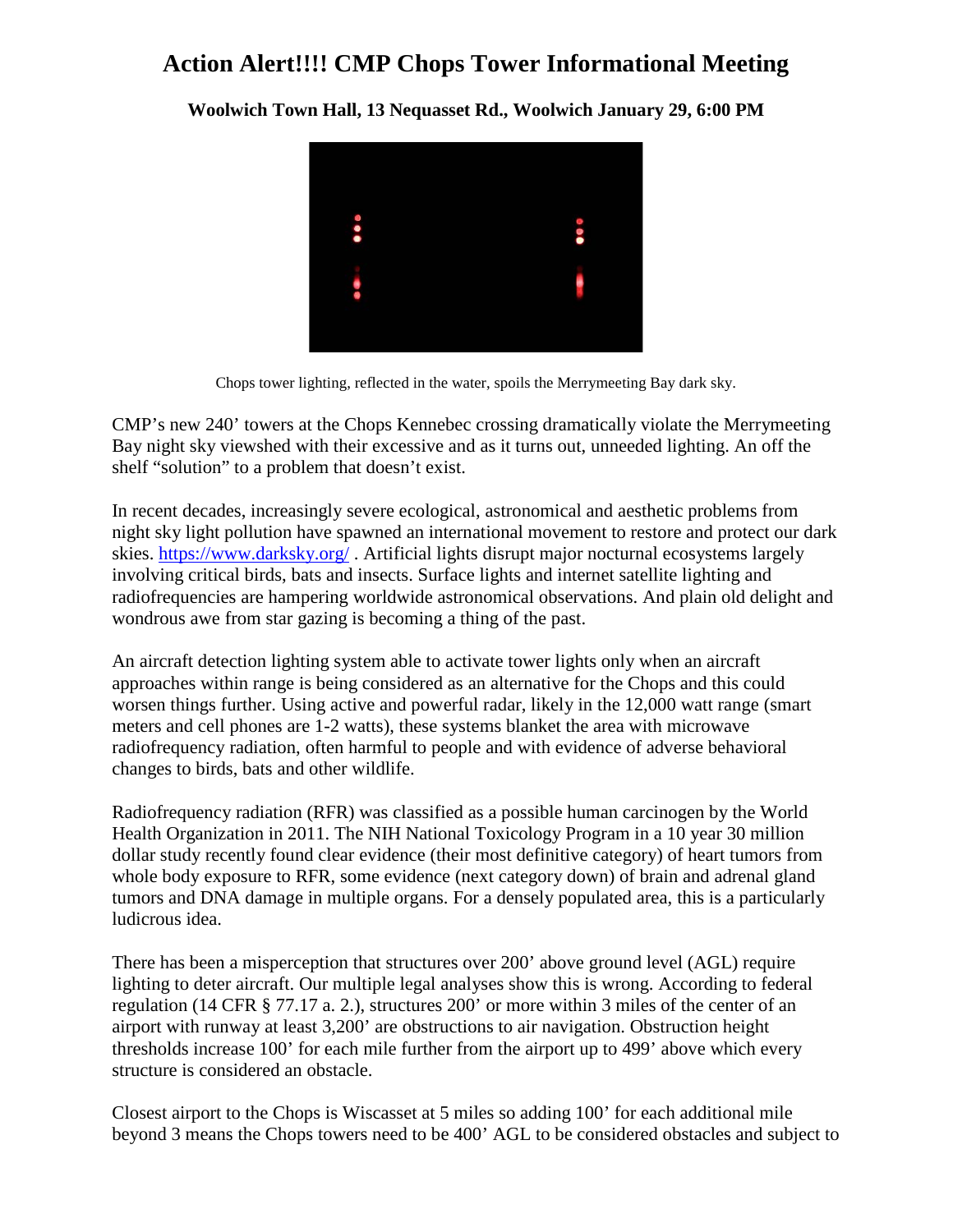## **Action Alert!!!! CMP Chops Tower Informational Meeting**

**Woolwich Town Hall, 13 Nequasset Rd., Woolwich January 29, 6:00 PM**



Chops tower lighting, reflected in the water, spoils the Merrymeeting Bay dark sky.

CMP's new 240' towers at the Chops Kennebec crossing dramatically violate the Merrymeeting Bay night sky viewshed with their excessive and as it turns out, unneeded lighting. An off the shelf "solution" to a problem that doesn't exist.

In recent decades, increasingly severe ecological, astronomical and aesthetic problems from night sky light pollution have spawned an international movement to restore and protect our dark skies.<https://www.darksky.org/> . Artificial lights disrupt major nocturnal ecosystems largely involving critical birds, bats and insects. Surface lights and internet satellite lighting and radiofrequencies are hampering worldwide astronomical observations. And plain old delight and wondrous awe from star gazing is becoming a thing of the past.

An aircraft detection lighting system able to activate tower lights only when an aircraft approaches within range is being considered as an alternative for the Chops and this could worsen things further. Using active and powerful radar, likely in the 12,000 watt range (smart meters and cell phones are 1-2 watts), these systems blanket the area with microwave radiofrequency radiation, often harmful to people and with evidence of adverse behavioral changes to birds, bats and other wildlife.

Radiofrequency radiation (RFR) was classified as a possible human carcinogen by the World Health Organization in 2011. The NIH National Toxicology Program in a 10 year 30 million dollar study recently found clear evidence (their most definitive category) of heart tumors from whole body exposure to RFR, some evidence (next category down) of brain and adrenal gland tumors and DNA damage in multiple organs. For a densely populated area, this is a particularly ludicrous idea.

There has been a misperception that structures over 200' above ground level (AGL) require lighting to deter aircraft. Our multiple legal analyses show this is wrong. According to federal regulation (14 CFR § 77.17 a. 2.), structures 200' or more within 3 miles of the center of an airport with runway at least 3,200' are obstructions to air navigation. Obstruction height thresholds increase 100' for each mile further from the airport up to 499' above which every structure is considered an obstacle.

Closest airport to the Chops is Wiscasset at 5 miles so adding 100' for each additional mile beyond 3 means the Chops towers need to be 400' AGL to be considered obstacles and subject to